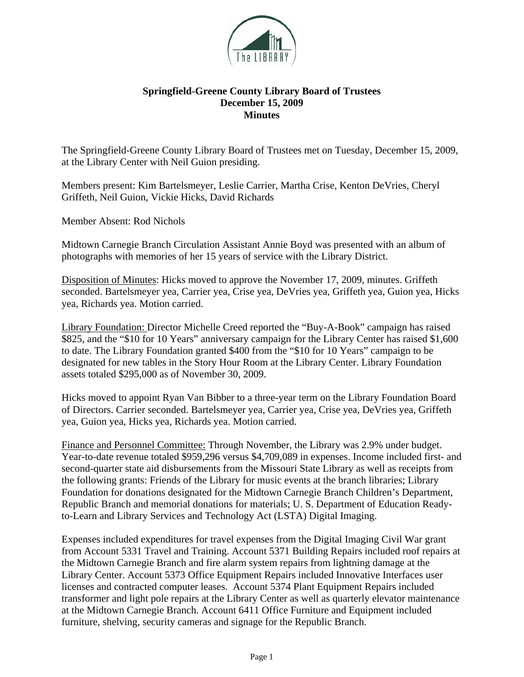

## **Springfield-Greene County Library Board of Trustees December 15, 2009 Minutes**

The Springfield-Greene County Library Board of Trustees met on Tuesday, December 15, 2009, at the Library Center with Neil Guion presiding.

Members present: Kim Bartelsmeyer, Leslie Carrier, Martha Crise, Kenton DeVries, Cheryl Griffeth, Neil Guion, Vickie Hicks, David Richards

Member Absent: Rod Nichols

Midtown Carnegie Branch Circulation Assistant Annie Boyd was presented with an album of photographs with memories of her 15 years of service with the Library District.

Disposition of Minutes: Hicks moved to approve the November 17, 2009, minutes. Griffeth seconded. Bartelsmeyer yea, Carrier yea, Crise yea, DeVries yea, Griffeth yea, Guion yea, Hicks yea, Richards yea. Motion carried.

Library Foundation: Director Michelle Creed reported the "Buy-A-Book" campaign has raised \$825, and the "\$10 for 10 Years" anniversary campaign for the Library Center has raised \$1,600 to date. The Library Foundation granted \$400 from the "\$10 for 10 Years" campaign to be designated for new tables in the Story Hour Room at the Library Center. Library Foundation assets totaled \$295,000 as of November 30, 2009.

Hicks moved to appoint Ryan Van Bibber to a three-year term on the Library Foundation Board of Directors. Carrier seconded. Bartelsmeyer yea, Carrier yea, Crise yea, DeVries yea, Griffeth yea, Guion yea, Hicks yea, Richards yea. Motion carried.

Finance and Personnel Committee: Through November, the Library was 2.9% under budget. Year-to-date revenue totaled \$959,296 versus \$4,709,089 in expenses. Income included first- and second-quarter state aid disbursements from the Missouri State Library as well as receipts from the following grants: Friends of the Library for music events at the branch libraries; Library Foundation for donations designated for the Midtown Carnegie Branch Children's Department, Republic Branch and memorial donations for materials; U. S. Department of Education Readyto-Learn and Library Services and Technology Act (LSTA) Digital Imaging.

Expenses included expenditures for travel expenses from the Digital Imaging Civil War grant from Account 5331 Travel and Training. Account 5371 Building Repairs included roof repairs at the Midtown Carnegie Branch and fire alarm system repairs from lightning damage at the Library Center. Account 5373 Office Equipment Repairs included Innovative Interfaces user licenses and contracted computer leases. Account 5374 Plant Equipment Repairs included transformer and light pole repairs at the Library Center as well as quarterly elevator maintenance at the Midtown Carnegie Branch. Account 6411 Office Furniture and Equipment included furniture, shelving, security cameras and signage for the Republic Branch.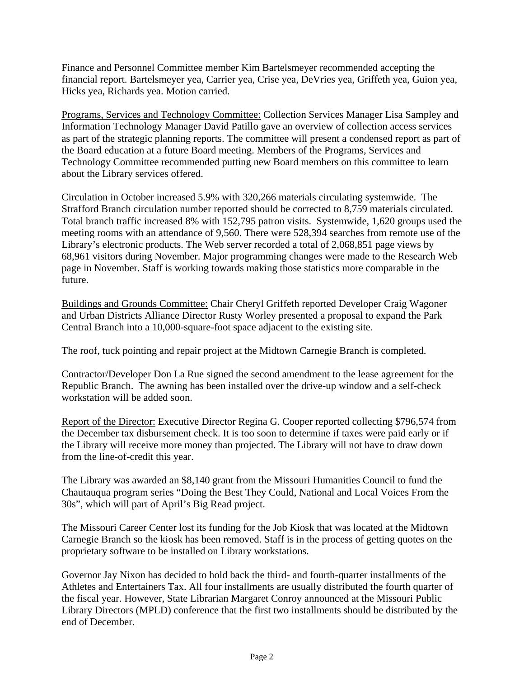Finance and Personnel Committee member Kim Bartelsmeyer recommended accepting the financial report. Bartelsmeyer yea, Carrier yea, Crise yea, DeVries yea, Griffeth yea, Guion yea, Hicks yea, Richards yea. Motion carried.

Programs, Services and Technology Committee: Collection Services Manager Lisa Sampley and Information Technology Manager David Patillo gave an overview of collection access services as part of the strategic planning reports. The committee will present a condensed report as part of the Board education at a future Board meeting. Members of the Programs, Services and Technology Committee recommended putting new Board members on this committee to learn about the Library services offered.

Circulation in October increased 5.9% with 320,266 materials circulating systemwide. The Strafford Branch circulation number reported should be corrected to 8,759 materials circulated. Total branch traffic increased 8% with 152,795 patron visits. Systemwide, 1,620 groups used the meeting rooms with an attendance of 9,560. There were 528,394 searches from remote use of the Library's electronic products. The Web server recorded a total of 2,068,851 page views by 68,961 visitors during November. Major programming changes were made to the Research Web page in November. Staff is working towards making those statistics more comparable in the future.

Buildings and Grounds Committee: Chair Cheryl Griffeth reported Developer Craig Wagoner and Urban Districts Alliance Director Rusty Worley presented a proposal to expand the Park Central Branch into a 10,000-square-foot space adjacent to the existing site.

The roof, tuck pointing and repair project at the Midtown Carnegie Branch is completed.

Contractor/Developer Don La Rue signed the second amendment to the lease agreement for the Republic Branch. The awning has been installed over the drive-up window and a self-check workstation will be added soon.

Report of the Director: Executive Director Regina G. Cooper reported collecting \$796,574 from the December tax disbursement check. It is too soon to determine if taxes were paid early or if the Library will receive more money than projected. The Library will not have to draw down from the line-of-credit this year.

The Library was awarded an \$8,140 grant from the Missouri Humanities Council to fund the Chautauqua program series "Doing the Best They Could, National and Local Voices From the 30s", which will part of April's Big Read project.

The Missouri Career Center lost its funding for the Job Kiosk that was located at the Midtown Carnegie Branch so the kiosk has been removed. Staff is in the process of getting quotes on the proprietary software to be installed on Library workstations.

Governor Jay Nixon has decided to hold back the third- and fourth-quarter installments of the Athletes and Entertainers Tax. All four installments are usually distributed the fourth quarter of the fiscal year. However, State Librarian Margaret Conroy announced at the Missouri Public Library Directors (MPLD) conference that the first two installments should be distributed by the end of December.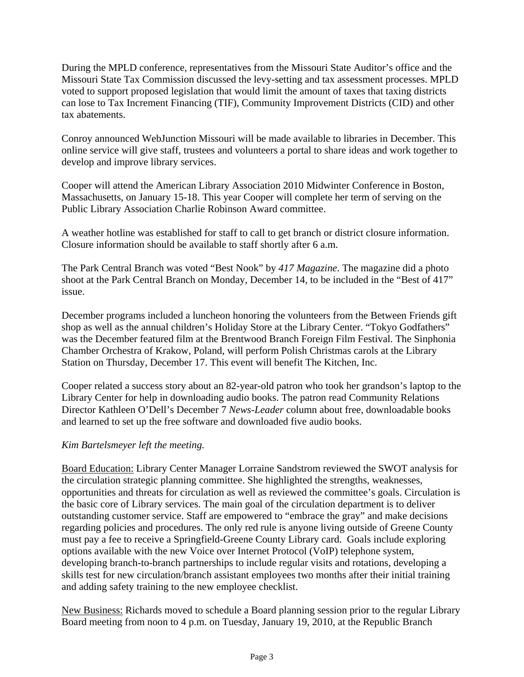During the MPLD conference, representatives from the Missouri State Auditor's office and the Missouri State Tax Commission discussed the levy-setting and tax assessment processes. MPLD voted to support proposed legislation that would limit the amount of taxes that taxing districts can lose to Tax Increment Financing (TIF), Community Improvement Districts (CID) and other tax abatements.

Conroy announced WebJunction Missouri will be made available to libraries in December. This online service will give staff, trustees and volunteers a portal to share ideas and work together to develop and improve library services.

Cooper will attend the American Library Association 2010 Midwinter Conference in Boston, Massachusetts, on January 15-18. This year Cooper will complete her term of serving on the Public Library Association Charlie Robinson Award committee.

A weather hotline was established for staff to call to get branch or district closure information. Closure information should be available to staff shortly after 6 a.m.

The Park Central Branch was voted "Best Nook" by *417 Magazine*. The magazine did a photo shoot at the Park Central Branch on Monday, December 14, to be included in the "Best of 417" issue.

December programs included a luncheon honoring the volunteers from the Between Friends gift shop as well as the annual children's Holiday Store at the Library Center. "Tokyo Godfathers" was the December featured film at the Brentwood Branch Foreign Film Festival. The Sinphonia Chamber Orchestra of Krakow, Poland, will perform Polish Christmas carols at the Library Station on Thursday, December 17. This event will benefit The Kitchen, Inc.

Cooper related a success story about an 82-year-old patron who took her grandson's laptop to the Library Center for help in downloading audio books. The patron read Community Relations Director Kathleen O'Dell's December 7 *News-Leader* column about free, downloadable books and learned to set up the free software and downloaded five audio books.

## *Kim Bartelsmeyer left the meeting.*

Board Education: Library Center Manager Lorraine Sandstrom reviewed the SWOT analysis for the circulation strategic planning committee. She highlighted the strengths, weaknesses, opportunities and threats for circulation as well as reviewed the committee's goals. Circulation is the basic core of Library services. The main goal of the circulation department is to deliver outstanding customer service. Staff are empowered to "embrace the gray" and make decisions regarding policies and procedures. The only red rule is anyone living outside of Greene County must pay a fee to receive a Springfield-Greene County Library card. Goals include exploring options available with the new Voice over Internet Protocol (VoIP) telephone system, developing branch-to-branch partnerships to include regular visits and rotations, developing a skills test for new circulation/branch assistant employees two months after their initial training and adding safety training to the new employee checklist.

New Business: Richards moved to schedule a Board planning session prior to the regular Library Board meeting from noon to 4 p.m. on Tuesday, January 19, 2010, at the Republic Branch